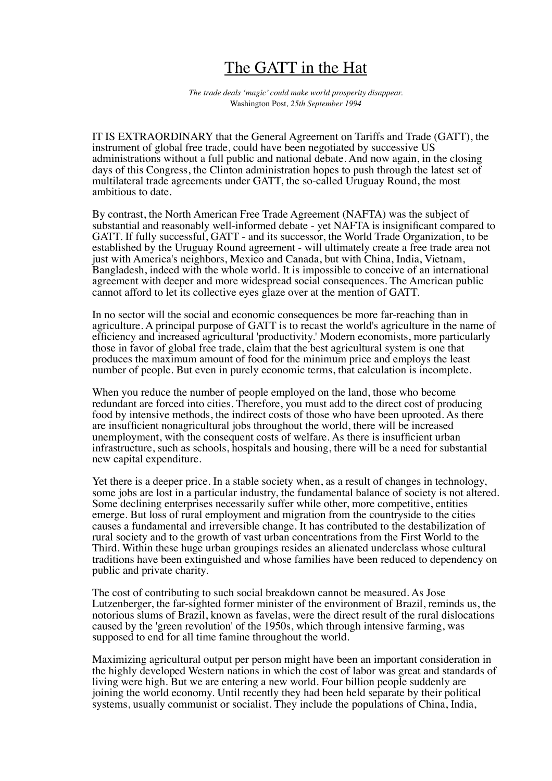## The GATT in the Hat

*The trade deals 'magic' could make world prosperity disappear.*  Washington Post*, 25th September 1994*

IT IS EXTRAORDINARY that the General Agreement on Tariffs and Trade (GATT), the instrument of global free trade, could have been negotiated by successive US administrations without a full public and national debate. And now again, in the closing days of this Congress, the Clinton administration hopes to push through the latest set of multilateral trade agreements under GATT, the so-called Uruguay Round, the most ambitious to date.

By contrast, the North American Free Trade Agreement (NAFTA) was the subject of substantial and reasonably well-informed debate - yet NAFTA is insignificant compared to GATT. If fully successful, GATT - and its successor, the World Trade Organization, to be established by the Uruguay Round agreement - will ultimately create a free trade area not just with America's neighbors, Mexico and Canada, but with China, India, Vietnam, Bangladesh, indeed with the whole world. It is impossible to conceive of an international agreement with deeper and more widespread social consequences. The American public cannot afford to let its collective eyes glaze over at the mention of GATT.

In no sector will the social and economic consequences be more far-reaching than in agriculture. A principal purpose of GATT is to recast the world's agriculture in the name of efficiency and increased agricultural 'productivity.' Modern economists, more particularly those in favor of global free trade, claim that the best agricultural system is one that produces the maximum amount of food for the minimum price and employs the least number of people. But even in purely economic terms, that calculation is incomplete.

When you reduce the number of people employed on the land, those who become redundant are forced into cities. Therefore, you must add to the direct cost of producing food by intensive methods, the indirect costs of those who have been uprooted. As there are insufficient nonagricultural jobs throughout the world, there will be increased unemployment, with the consequent costs of welfare. As there is insufficient urban infrastructure, such as schools, hospitals and housing, there will be a need for substantial new capital expenditure.

Yet there is a deeper price. In a stable society when, as a result of changes in technology, some jobs are lost in a particular industry, the fundamental balance of society is not altered. Some declining enterprises necessarily suffer while other, more competitive, entities emerge. But loss of rural employment and migration from the countryside to the cities causes a fundamental and irreversible change. It has contributed to the destabilization of rural society and to the growth of vast urban concentrations from the First World to the Third. Within these huge urban groupings resides an alienated underclass whose cultural traditions have been extinguished and whose families have been reduced to dependency on public and private charity.

The cost of contributing to such social breakdown cannot be measured. As Jose Lutzenberger, the far-sighted former minister of the environment of Brazil, reminds us, the notorious slums of Brazil, known as favelas, were the direct result of the rural dislocations caused by the 'green revolution' of the 1950s, which through intensive farming, was supposed to end for all time famine throughout the world.

Maximizing agricultural output per person might have been an important consideration in the highly developed Western nations in which the cost of labor was great and standards of living were high. But we are entering a new world. Four billion people suddenly are joining the world economy. Until recently they had been held separate by their political systems, usually communist or socialist. They include the populations of China, India,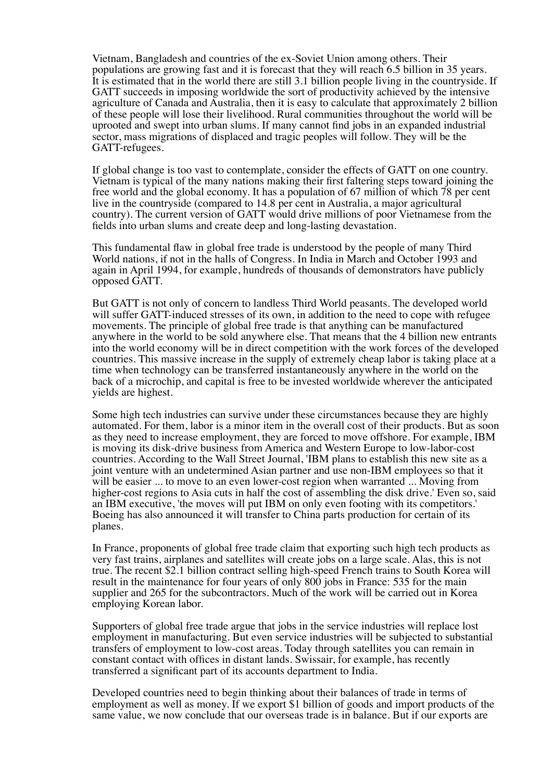Vietnam, Bangladesh and countries of the ex-Soviet Union among others. Their populations are growing fast and it is forecast that they will reach 6.5 billion in 35 years. It is estimated that in the world there are still 3.1 billion people living in the countryside. If GATT succeeds in imposing worldwide the sort of productivity achieved by the intensive agriculture of Canada and Australia, then it is easy to calculate that approximately 2 billion of these people will lose their livelihood. Rural communities throughout the world will be uprooted and swept into urban slums. If many cannot find jobs in an expanded industrial sector, mass migrations of displaced and tragic peoples will follow. They will be the GATT-refugees.

If global change is too vast to contemplate, consider the effects of GATT on one country. Vietnam is typical of the many nations making their first faltering steps toward joining the free world and the global economy. It has a population of 67 million of which 78 per cent live in the countryside (compared to 14.8 per cent in Australia, a major agricultural country). The current version of GATT would drive millions of poor Vietnamese from the fields into urban slums and create deep and long-lasting devastation.

This fundamental flaw in global free trade is understood by the people of many Third World nations, if not in the halls of Congress. In India in March and October 1993 and again in April 1994, for example, hundreds of thousands of demonstrators have publicly opposed GATT.

But GATT is not only of concern to landless Third World peasants. The developed world will suffer GATT-induced stresses of its own, in addition to the need to cope with refugee movements. The principle of global free trade is that anything can be manufactured anywhere in the world to be sold anywhere else. That means that the 4 billion new entrants into the world economy will be in direct competition with the work forces of the developed countries. This massive increase in the supply of extremely cheap labor is taking place at a time when technology can be transferred instantaneously anywhere in the world on the back of a microchip, and capital is free to be invested worldwide wherever the anticipated yields are highest.

Some high tech industries can survive under these circumstances because they are highly automated. For them, labor is a minor item in the overall cost of their products. But as soon as they need to increase employment, they are forced to move offshore. For example, IBM is moving its disk-drive business from America and Western Europe to low-labor-cost countries. According to the Wall Street Journal, 'IBM plans to establish this new site as a joint venture with an undetermined Asian partner and use non-IBM employees so that it will be easier ... to move to an even lower-cost region when warranted ... Moving from higher-cost regions to Asia cuts in half the cost of assembling the disk drive.' Even so, said an IBM executive, 'the moves will put IBM on only even footing with its competitors.' Boeing has also announced it will transfer to China parts production for certain of its planes.

In France, proponents of global free trade claim that exporting such high tech products as very fast trains, airplanes and satellites will create jobs on a large scale. Alas, this is not true. The recent \$2.1 billion contract selling high-speed French trains to South Korea will result in the maintenance for four years of only 800 jobs in France: 535 for the main supplier and 265 for the subcontractors. Much of the work will be carried out in Korea employing Korean labor.

Supporters of global free trade argue that jobs in the service industries will replace lost employment in manufacturing. But even service industries will be subjected to substantial transfers of employment to low-cost areas. Today through satellites you can remain in constant contact with offices in distant lands. Swissair, for example, has recently transferred a significant part of its accounts department to India.

Developed countries need to begin thinking about their balances of trade in terms of employment as well as money. If we export \$1 billion of goods and import products of the same value, we now conclude that our overseas trade is in balance. But if our exports are